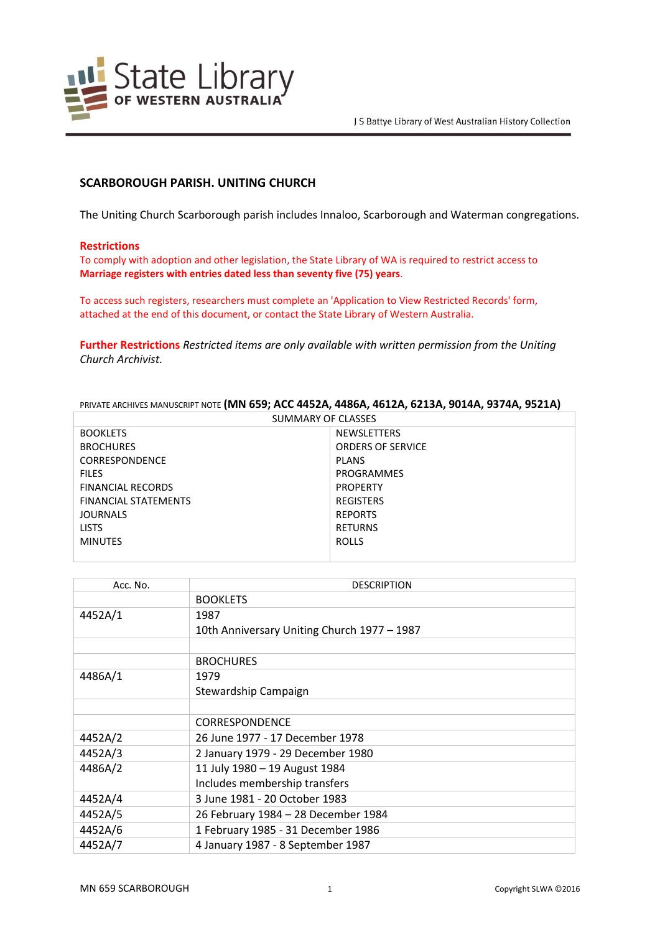

# **SCARBOROUGH PARISH. UNITING CHURCH**

The Uniting Church Scarborough parish includes Innaloo, Scarborough and Waterman congregations.

#### **Restrictions**

To comply with adoption and other legislation, the State Library of WA is required to restrict access to **Marriage registers with entries dated less than seventy five (75) years**.

To access such registers, researchers must complete an 'Application to View Restricted Records' form, attached at the end of this document, or contact the State Library of Western Australia.

**Further Restrictions** *Restricted items are only available with written permission from the Uniting Church Archivist.*

PRIVATE ARCHIVES MANUSCRIPT NOTE **(MN 659; ACC 4452A, 4486A, 4612A, 6213A, 9014A, 9374A, 9521A)**

| PRIVATE ARCHIVES MANUSCRIPT NOTE (IVIN 659; ACC 4452A, 4486A, 4612A, 6213A, 9014A, 9374A, 9521A) |                          |  |
|--------------------------------------------------------------------------------------------------|--------------------------|--|
| SUMMARY OF CLASSES                                                                               |                          |  |
| <b>BOOKLETS</b>                                                                                  | <b>NEWSLETTERS</b>       |  |
| <b>BROCHURES</b>                                                                                 | <b>ORDERS OF SERVICE</b> |  |
| <b>CORRESPONDENCE</b>                                                                            | <b>PLANS</b>             |  |
| <b>FILES</b>                                                                                     | PROGRAMMES               |  |
| <b>FINANCIAL RECORDS</b>                                                                         | <b>PROPERTY</b>          |  |
| FINANCIAL STATEMENTS                                                                             | <b>REGISTERS</b>         |  |
| <b>JOURNALS</b>                                                                                  | <b>REPORTS</b>           |  |
| <b>LISTS</b>                                                                                     | <b>RETURNS</b>           |  |
| <b>MINUTES</b>                                                                                   | <b>ROLLS</b>             |  |
|                                                                                                  |                          |  |

| Acc. No. | <b>DESCRIPTION</b>                          |
|----------|---------------------------------------------|
|          | <b>BOOKLETS</b>                             |
| 4452A/1  | 1987                                        |
|          | 10th Anniversary Uniting Church 1977 - 1987 |
|          |                                             |
|          | <b>BROCHURES</b>                            |
| 4486A/1  | 1979                                        |
|          | Stewardship Campaign                        |
|          |                                             |
|          | <b>CORRESPONDENCE</b>                       |
| 4452A/2  | 26 June 1977 - 17 December 1978             |
| 4452A/3  | 2 January 1979 - 29 December 1980           |
| 4486A/2  | 11 July 1980 - 19 August 1984               |
|          | Includes membership transfers               |
| 4452A/4  | 3 June 1981 - 20 October 1983               |
| 4452A/5  | 26 February 1984 - 28 December 1984         |
| 4452A/6  | 1 February 1985 - 31 December 1986          |
| 4452A/7  | 4 January 1987 - 8 September 1987           |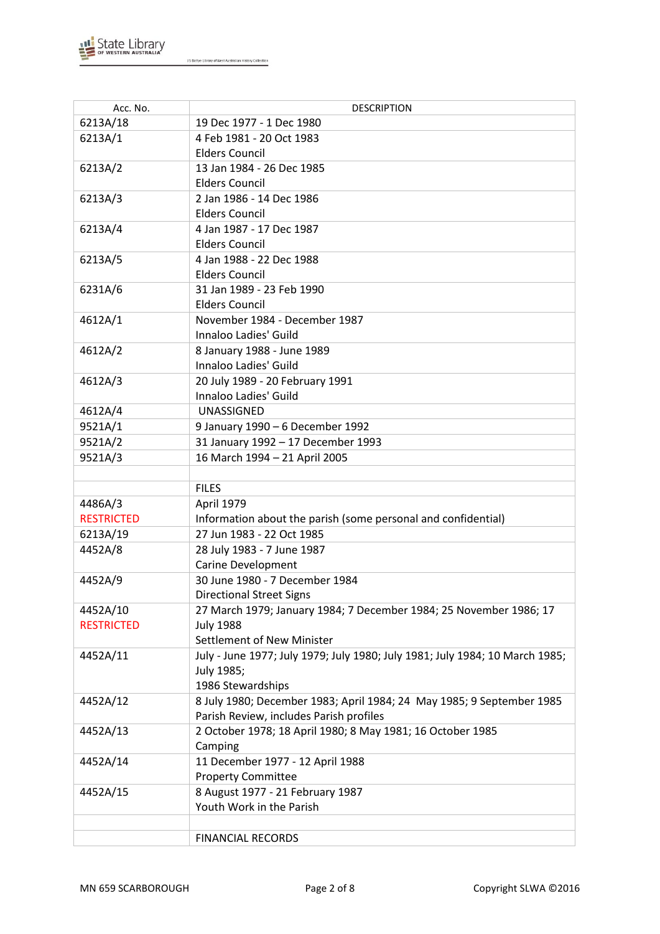

| Acc. No.          | <b>DESCRIPTION</b>                                                           |
|-------------------|------------------------------------------------------------------------------|
| 6213A/18          | 19 Dec 1977 - 1 Dec 1980                                                     |
| 6213A/1           | 4 Feb 1981 - 20 Oct 1983                                                     |
|                   | <b>Elders Council</b>                                                        |
| 6213A/2           | 13 Jan 1984 - 26 Dec 1985                                                    |
|                   | <b>Elders Council</b>                                                        |
| 6213A/3           | 2 Jan 1986 - 14 Dec 1986                                                     |
|                   | <b>Elders Council</b>                                                        |
| 6213A/4           | 4 Jan 1987 - 17 Dec 1987                                                     |
|                   | <b>Elders Council</b>                                                        |
| 6213A/5           | 4 Jan 1988 - 22 Dec 1988                                                     |
|                   | <b>Elders Council</b>                                                        |
| 6231A/6           | 31 Jan 1989 - 23 Feb 1990                                                    |
|                   | <b>Elders Council</b>                                                        |
| 4612A/1           | November 1984 - December 1987                                                |
|                   | Innaloo Ladies' Guild                                                        |
| 4612A/2           | 8 January 1988 - June 1989                                                   |
|                   | Innaloo Ladies' Guild                                                        |
| 4612A/3           | 20 July 1989 - 20 February 1991                                              |
|                   | Innaloo Ladies' Guild                                                        |
| 4612A/4           | UNASSIGNED                                                                   |
| 9521A/1           | 9 January 1990 - 6 December 1992                                             |
| 9521A/2           | 31 January 1992 - 17 December 1993                                           |
| 9521A/3           | 16 March 1994 - 21 April 2005                                                |
|                   |                                                                              |
|                   | <b>FILES</b>                                                                 |
| 4486A/3           | April 1979                                                                   |
| <b>RESTRICTED</b> | Information about the parish (some personal and confidential)                |
| 6213A/19          | 27 Jun 1983 - 22 Oct 1985                                                    |
| 4452A/8           | 28 July 1983 - 7 June 1987                                                   |
|                   | <b>Carine Development</b>                                                    |
| 4452A/9           | 30 June 1980 - 7 December 1984                                               |
|                   | <b>Directional Street Signs</b>                                              |
| 4452A/10          | 27 March 1979; January 1984; 7 December 1984; 25 November 1986; 17           |
| <b>RESTRICTED</b> | <b>July 1988</b>                                                             |
|                   | Settlement of New Minister                                                   |
| 4452A/11          | July - June 1977; July 1979; July 1980; July 1981; July 1984; 10 March 1985; |
|                   | July 1985;                                                                   |
|                   | 1986 Stewardships                                                            |
| 4452A/12          | 8 July 1980; December 1983; April 1984; 24 May 1985; 9 September 1985        |
|                   | Parish Review, includes Parish profiles                                      |
| 4452A/13          | 2 October 1978; 18 April 1980; 8 May 1981; 16 October 1985                   |
|                   | Camping                                                                      |
| 4452A/14          | 11 December 1977 - 12 April 1988                                             |
|                   | <b>Property Committee</b>                                                    |
| 4452A/15          | 8 August 1977 - 21 February 1987<br>Youth Work in the Parish                 |
|                   |                                                                              |
|                   | <b>FINANCIAL RECORDS</b>                                                     |
|                   |                                                                              |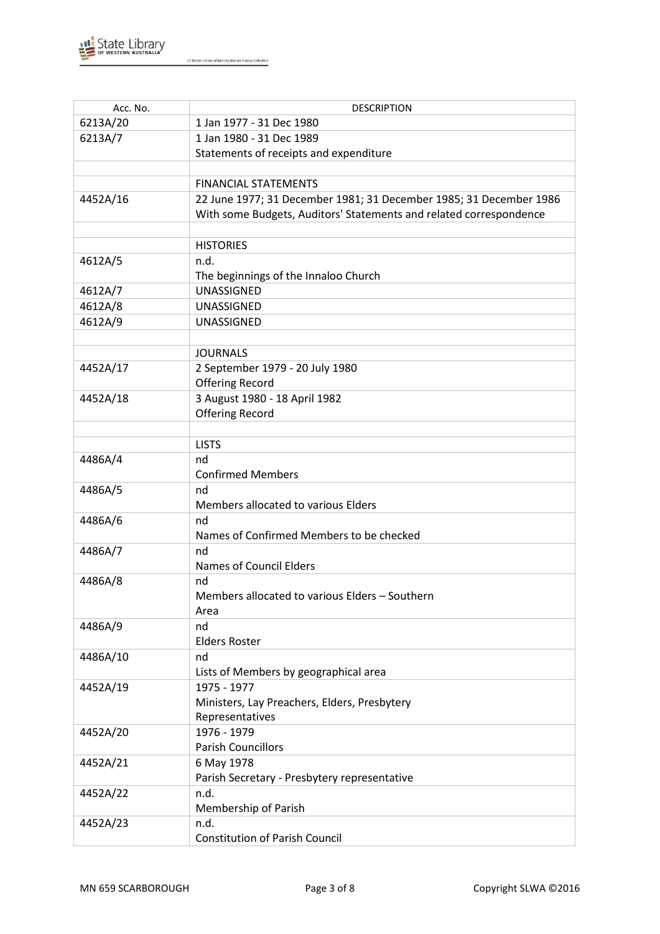

| Acc. No. | <b>DESCRIPTION</b>                                                 |
|----------|--------------------------------------------------------------------|
| 6213A/20 | 1 Jan 1977 - 31 Dec 1980                                           |
| 6213A/7  | 1 Jan 1980 - 31 Dec 1989                                           |
|          | Statements of receipts and expenditure                             |
|          |                                                                    |
|          | <b>FINANCIAL STATEMENTS</b>                                        |
| 4452A/16 | 22 June 1977; 31 December 1981; 31 December 1985; 31 December 1986 |
|          | With some Budgets, Auditors' Statements and related correspondence |
|          |                                                                    |
|          | <b>HISTORIES</b>                                                   |
| 4612A/5  | n.d.                                                               |
|          | The beginnings of the Innaloo Church                               |
| 4612A/7  | UNASSIGNED                                                         |
| 4612A/8  | <b>UNASSIGNED</b>                                                  |
| 4612A/9  | <b>UNASSIGNED</b>                                                  |
|          |                                                                    |
|          | <b>JOURNALS</b>                                                    |
| 4452A/17 | 2 September 1979 - 20 July 1980                                    |
|          | <b>Offering Record</b>                                             |
| 4452A/18 | 3 August 1980 - 18 April 1982                                      |
|          | <b>Offering Record</b>                                             |
|          |                                                                    |
|          | <b>LISTS</b>                                                       |
| 4486A/4  | nd                                                                 |
|          | <b>Confirmed Members</b>                                           |
| 4486A/5  | nd                                                                 |
|          | Members allocated to various Elders                                |
| 4486A/6  | nd                                                                 |
|          | Names of Confirmed Members to be checked                           |
| 4486A/7  | nd                                                                 |
|          | <b>Names of Council Elders</b>                                     |
| 4486A/8  | nd                                                                 |
|          | Members allocated to various Elders - Southern                     |
|          | Area                                                               |
| 4486A/9  | nd                                                                 |
|          | <b>Elders Roster</b>                                               |
| 4486A/10 | nd                                                                 |
|          | Lists of Members by geographical area                              |
| 4452A/19 | 1975 - 1977                                                        |
|          | Ministers, Lay Preachers, Elders, Presbytery                       |
|          | Representatives                                                    |
| 4452A/20 | 1976 - 1979                                                        |
|          | <b>Parish Councillors</b>                                          |
| 4452A/21 | 6 May 1978                                                         |
|          | Parish Secretary - Presbytery representative                       |
| 4452A/22 | n.d.                                                               |
|          | Membership of Parish                                               |
| 4452A/23 | n.d.                                                               |
|          | <b>Constitution of Parish Council</b>                              |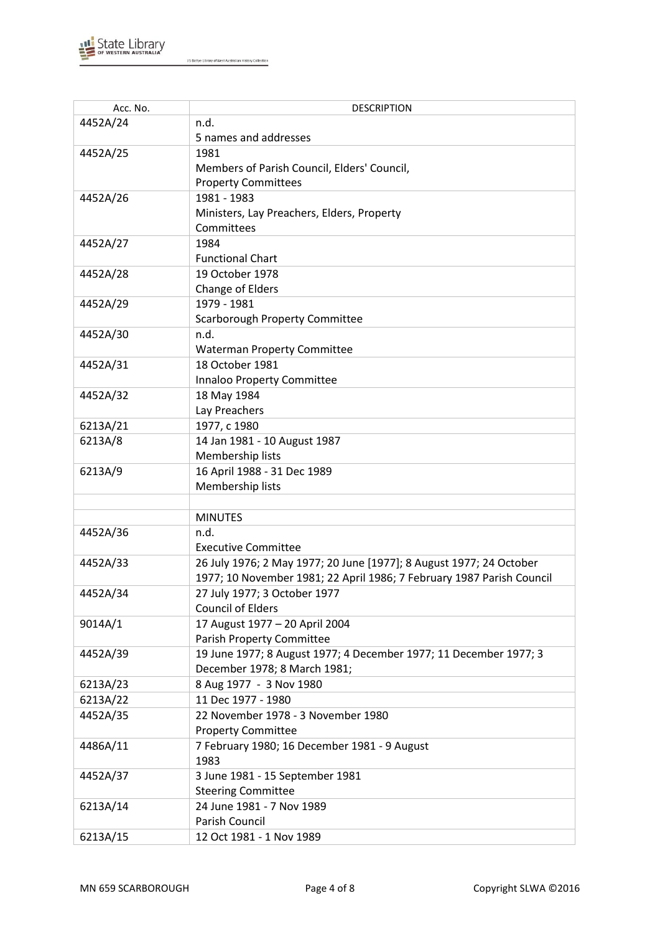

| Acc. No. | <b>DESCRIPTION</b>                                                    |
|----------|-----------------------------------------------------------------------|
| 4452A/24 | n.d.                                                                  |
|          | 5 names and addresses                                                 |
| 4452A/25 | 1981                                                                  |
|          | Members of Parish Council, Elders' Council,                           |
|          | <b>Property Committees</b>                                            |
| 4452A/26 | 1981 - 1983                                                           |
|          | Ministers, Lay Preachers, Elders, Property                            |
|          | Committees                                                            |
| 4452A/27 | 1984                                                                  |
|          | <b>Functional Chart</b>                                               |
| 4452A/28 | 19 October 1978                                                       |
|          | Change of Elders                                                      |
| 4452A/29 | 1979 - 1981                                                           |
|          | <b>Scarborough Property Committee</b>                                 |
| 4452A/30 | n.d.                                                                  |
|          | <b>Waterman Property Committee</b>                                    |
| 4452A/31 | 18 October 1981                                                       |
|          | Innaloo Property Committee                                            |
| 4452A/32 | 18 May 1984                                                           |
|          | Lay Preachers                                                         |
| 6213A/21 | 1977, c 1980                                                          |
| 6213A/8  | 14 Jan 1981 - 10 August 1987                                          |
|          | Membership lists                                                      |
| 6213A/9  | 16 April 1988 - 31 Dec 1989                                           |
|          | Membership lists                                                      |
|          |                                                                       |
|          | <b>MINUTES</b>                                                        |
| 4452A/36 | n.d.                                                                  |
|          | <b>Executive Committee</b>                                            |
| 4452A/33 | 26 July 1976; 2 May 1977; 20 June [1977]; 8 August 1977; 24 October   |
|          | 1977; 10 November 1981; 22 April 1986; 7 February 1987 Parish Council |
| 4452A/34 | 27 July 1977; 3 October 1977                                          |
|          | <b>Council of Elders</b>                                              |
| 9014A/1  | 17 August 1977 - 20 April 2004                                        |
|          | <b>Parish Property Committee</b>                                      |
| 4452A/39 | 19 June 1977; 8 August 1977; 4 December 1977; 11 December 1977; 3     |
|          | December 1978; 8 March 1981;                                          |
| 6213A/23 | 8 Aug 1977 - 3 Nov 1980                                               |
| 6213A/22 | 11 Dec 1977 - 1980                                                    |
| 4452A/35 | 22 November 1978 - 3 November 1980                                    |
|          | <b>Property Committee</b>                                             |
| 4486A/11 | 7 February 1980; 16 December 1981 - 9 August                          |
|          | 1983                                                                  |
| 4452A/37 | 3 June 1981 - 15 September 1981                                       |
|          | <b>Steering Committee</b>                                             |
| 6213A/14 | 24 June 1981 - 7 Nov 1989                                             |
|          | Parish Council                                                        |
| 6213A/15 | 12 Oct 1981 - 1 Nov 1989                                              |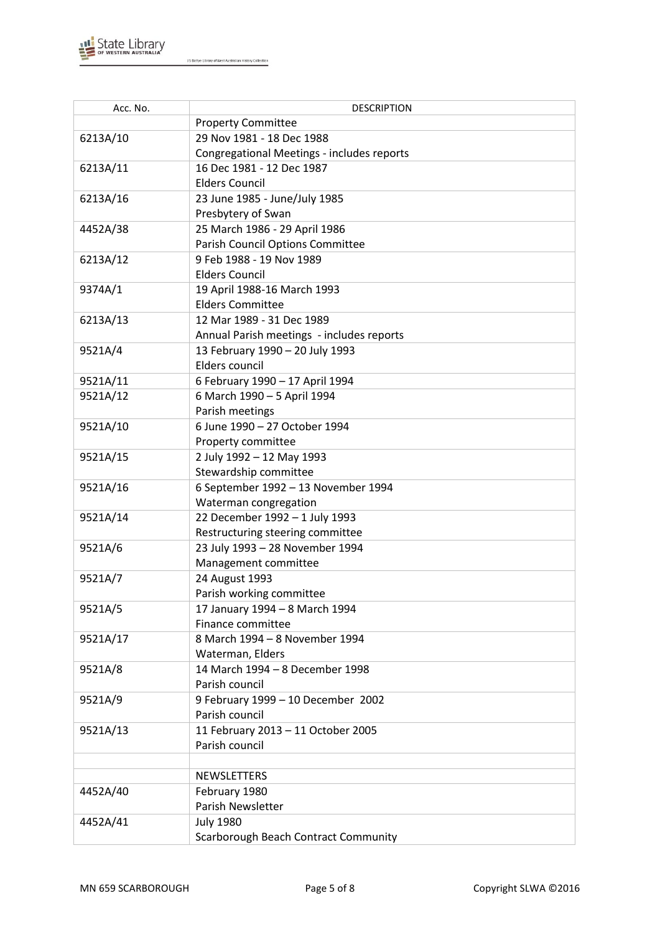

| Acc. No. | <b>DESCRIPTION</b>                         |
|----------|--------------------------------------------|
|          | <b>Property Committee</b>                  |
| 6213A/10 | 29 Nov 1981 - 18 Dec 1988                  |
|          | Congregational Meetings - includes reports |
| 6213A/11 | 16 Dec 1981 - 12 Dec 1987                  |
|          | <b>Elders Council</b>                      |
| 6213A/16 | 23 June 1985 - June/July 1985              |
|          | Presbytery of Swan                         |
| 4452A/38 | 25 March 1986 - 29 April 1986              |
|          | Parish Council Options Committee           |
| 6213A/12 | 9 Feb 1988 - 19 Nov 1989                   |
|          | <b>Elders Council</b>                      |
| 9374A/1  | 19 April 1988-16 March 1993                |
|          | <b>Elders Committee</b>                    |
| 6213A/13 | 12 Mar 1989 - 31 Dec 1989                  |
|          | Annual Parish meetings - includes reports  |
| 9521A/4  | 13 February 1990 - 20 July 1993            |
|          | Elders council                             |
| 9521A/11 | 6 February 1990 - 17 April 1994            |
| 9521A/12 | 6 March 1990 - 5 April 1994                |
|          | Parish meetings                            |
| 9521A/10 | 6 June 1990 - 27 October 1994              |
|          | Property committee                         |
| 9521A/15 | 2 July 1992 - 12 May 1993                  |
|          | Stewardship committee                      |
| 9521A/16 | 6 September 1992 - 13 November 1994        |
|          | Waterman congregation                      |
| 9521A/14 | 22 December 1992 - 1 July 1993             |
|          | Restructuring steering committee           |
| 9521A/6  | 23 July 1993 - 28 November 1994            |
|          | Management committee                       |
| 9521A/7  | 24 August 1993                             |
|          | Parish working committee                   |
| 9521A/5  | 17 January 1994 - 8 March 1994             |
|          | Finance committee                          |
| 9521A/17 | 8 March 1994 - 8 November 1994             |
|          | Waterman, Elders                           |
| 9521A/8  | 14 March 1994 - 8 December 1998            |
|          | Parish council                             |
| 9521A/9  | 9 February 1999 - 10 December 2002         |
|          | Parish council                             |
| 9521A/13 | 11 February 2013 - 11 October 2005         |
|          | Parish council                             |
|          |                                            |
|          | NEWSLETTERS                                |
| 4452A/40 | February 1980                              |
|          | Parish Newsletter                          |
| 4452A/41 | <b>July 1980</b>                           |
|          | Scarborough Beach Contract Community       |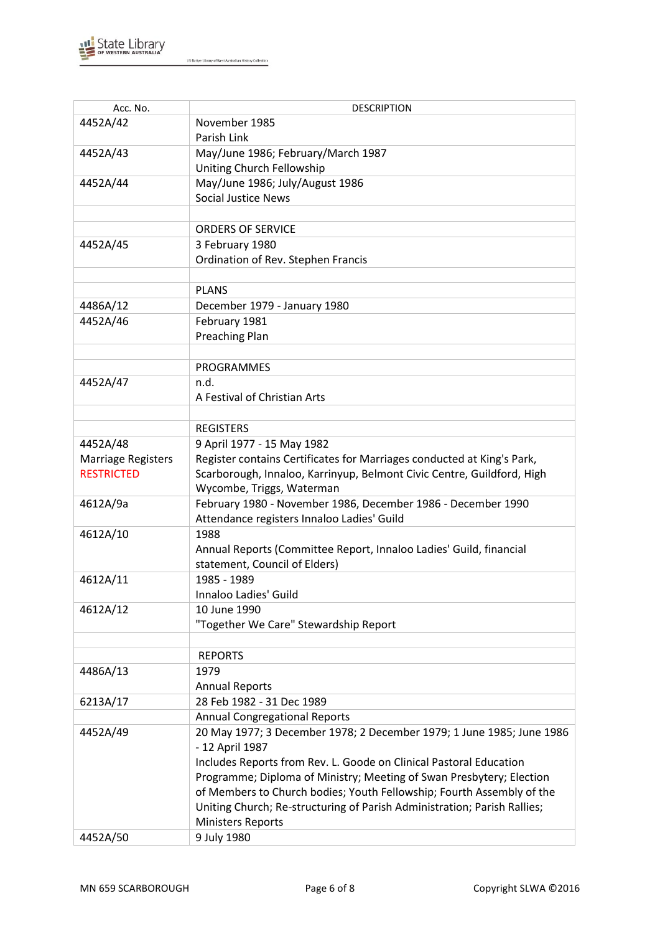

| Acc. No.                  | <b>DESCRIPTION</b>                                                       |
|---------------------------|--------------------------------------------------------------------------|
| 4452A/42                  | November 1985                                                            |
|                           | Parish Link                                                              |
| 4452A/43                  | May/June 1986; February/March 1987                                       |
|                           | Uniting Church Fellowship                                                |
| 4452A/44                  | May/June 1986; July/August 1986                                          |
|                           | <b>Social Justice News</b>                                               |
|                           |                                                                          |
|                           | <b>ORDERS OF SERVICE</b>                                                 |
| 4452A/45                  | 3 February 1980                                                          |
|                           | Ordination of Rev. Stephen Francis                                       |
|                           |                                                                          |
|                           | <b>PLANS</b>                                                             |
| 4486A/12                  | December 1979 - January 1980                                             |
| 4452A/46                  | February 1981                                                            |
|                           | <b>Preaching Plan</b>                                                    |
|                           |                                                                          |
|                           | <b>PROGRAMMES</b>                                                        |
| 4452A/47                  | n.d.                                                                     |
|                           | A Festival of Christian Arts                                             |
|                           |                                                                          |
|                           | <b>REGISTERS</b>                                                         |
| 4452A/48                  | 9 April 1977 - 15 May 1982                                               |
| <b>Marriage Registers</b> | Register contains Certificates for Marriages conducted at King's Park,   |
| <b>RESTRICTED</b>         | Scarborough, Innaloo, Karrinyup, Belmont Civic Centre, Guildford, High   |
|                           | Wycombe, Triggs, Waterman                                                |
| 4612A/9a                  | February 1980 - November 1986, December 1986 - December 1990             |
|                           | Attendance registers Innaloo Ladies' Guild                               |
| 4612A/10                  | 1988                                                                     |
|                           | Annual Reports (Committee Report, Innaloo Ladies' Guild, financial       |
|                           | statement, Council of Elders)                                            |
| 4612A/11                  | 1985 - 1989                                                              |
|                           | Innaloo Ladies' Guild                                                    |
| 4612A/12                  | 10 June 1990                                                             |
|                           | "Together We Care" Stewardship Report                                    |
|                           |                                                                          |
|                           | <b>REPORTS</b>                                                           |
| 4486A/13                  | 1979                                                                     |
|                           | <b>Annual Reports</b>                                                    |
| 6213A/17                  | 28 Feb 1982 - 31 Dec 1989                                                |
|                           | <b>Annual Congregational Reports</b>                                     |
| 4452A/49                  | 20 May 1977; 3 December 1978; 2 December 1979; 1 June 1985; June 1986    |
|                           | - 12 April 1987                                                          |
|                           | Includes Reports from Rev. L. Goode on Clinical Pastoral Education       |
|                           | Programme; Diploma of Ministry; Meeting of Swan Presbytery; Election     |
|                           | of Members to Church bodies; Youth Fellowship; Fourth Assembly of the    |
|                           | Uniting Church; Re-structuring of Parish Administration; Parish Rallies; |
|                           | <b>Ministers Reports</b>                                                 |
| 4452A/50                  | 9 July 1980                                                              |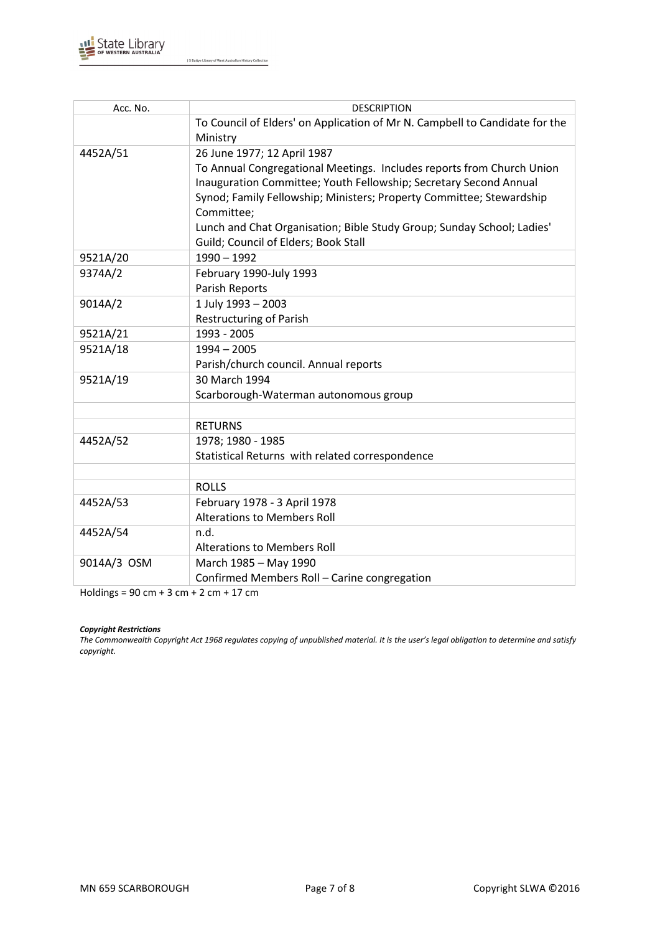

| Acc. No.    | <b>DESCRIPTION</b>                                                                      |  |
|-------------|-----------------------------------------------------------------------------------------|--|
|             | To Council of Elders' on Application of Mr N. Campbell to Candidate for the<br>Ministry |  |
| 4452A/51    | 26 June 1977; 12 April 1987                                                             |  |
|             | To Annual Congregational Meetings. Includes reports from Church Union                   |  |
|             | Inauguration Committee; Youth Fellowship; Secretary Second Annual                       |  |
|             | Synod; Family Fellowship; Ministers; Property Committee; Stewardship                    |  |
|             | Committee;                                                                              |  |
|             | Lunch and Chat Organisation; Bible Study Group; Sunday School; Ladies'                  |  |
|             | Guild; Council of Elders; Book Stall                                                    |  |
| 9521A/20    | $1990 - 1992$                                                                           |  |
| 9374A/2     | February 1990-July 1993                                                                 |  |
|             | Parish Reports                                                                          |  |
| 9014A/2     | 1 July 1993 - 2003                                                                      |  |
|             | <b>Restructuring of Parish</b>                                                          |  |
| 9521A/21    | 1993 - 2005                                                                             |  |
| 9521A/18    | $1994 - 2005$                                                                           |  |
|             | Parish/church council. Annual reports                                                   |  |
| 9521A/19    | 30 March 1994                                                                           |  |
|             | Scarborough-Waterman autonomous group                                                   |  |
|             |                                                                                         |  |
|             | <b>RETURNS</b>                                                                          |  |
| 4452A/52    | 1978; 1980 - 1985                                                                       |  |
|             | Statistical Returns with related correspondence                                         |  |
|             |                                                                                         |  |
|             | <b>ROLLS</b>                                                                            |  |
| 4452A/53    | February 1978 - 3 April 1978                                                            |  |
|             | <b>Alterations to Members Roll</b>                                                      |  |
| 4452A/54    | n.d.                                                                                    |  |
|             | <b>Alterations to Members Roll</b>                                                      |  |
| 9014A/3 OSM | March 1985 - May 1990                                                                   |  |
|             | Confirmed Members Roll - Carine congregation                                            |  |

Holdings = 90 cm + 3 cm + 2 cm + 17 cm

#### *Copyright Restrictions*

The Commonwealth Copyright Act 1968 regulates copying of unpublished material. It is the user's legal obligation to determine and satisfy *copyright.*